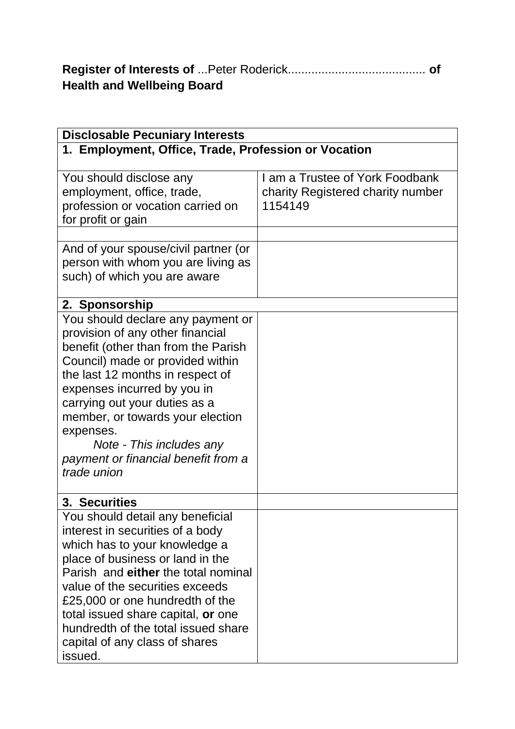| <b>Health and Wellbeing Board</b> |  |
|-----------------------------------|--|

| <b>Disclosable Pecuniary Interests</b>               |                                   |  |
|------------------------------------------------------|-----------------------------------|--|
| 1. Employment, Office, Trade, Profession or Vocation |                                   |  |
|                                                      |                                   |  |
| You should disclose any                              | I am a Trustee of York Foodbank   |  |
| employment, office, trade,                           | charity Registered charity number |  |
| profession or vocation carried on                    | 1154149                           |  |
| for profit or gain                                   |                                   |  |
|                                                      |                                   |  |
| And of your spouse/civil partner (or                 |                                   |  |
| person with whom you are living as                   |                                   |  |
| such) of which you are aware                         |                                   |  |
| 2. Sponsorship                                       |                                   |  |
| You should declare any payment or                    |                                   |  |
| provision of any other financial                     |                                   |  |
| benefit (other than from the Parish                  |                                   |  |
| Council) made or provided within                     |                                   |  |
| the last 12 months in respect of                     |                                   |  |
| expenses incurred by you in                          |                                   |  |
| carrying out your duties as a                        |                                   |  |
| member, or towards your election                     |                                   |  |
| expenses.                                            |                                   |  |
| Note - This includes any                             |                                   |  |
| payment or financial benefit from a                  |                                   |  |
| trade union                                          |                                   |  |
|                                                      |                                   |  |
| 3. Securities                                        |                                   |  |
| You should detail any beneficial                     |                                   |  |
| interest in securities of a body                     |                                   |  |
| which has to your knowledge a                        |                                   |  |
| place of business or land in the                     |                                   |  |
| Parish and either the total nominal                  |                                   |  |
| value of the securities exceeds                      |                                   |  |
| £25,000 or one hundredth of the                      |                                   |  |
| total issued share capital, or one                   |                                   |  |
| hundredth of the total issued share                  |                                   |  |
| capital of any class of shares                       |                                   |  |
| issued.                                              |                                   |  |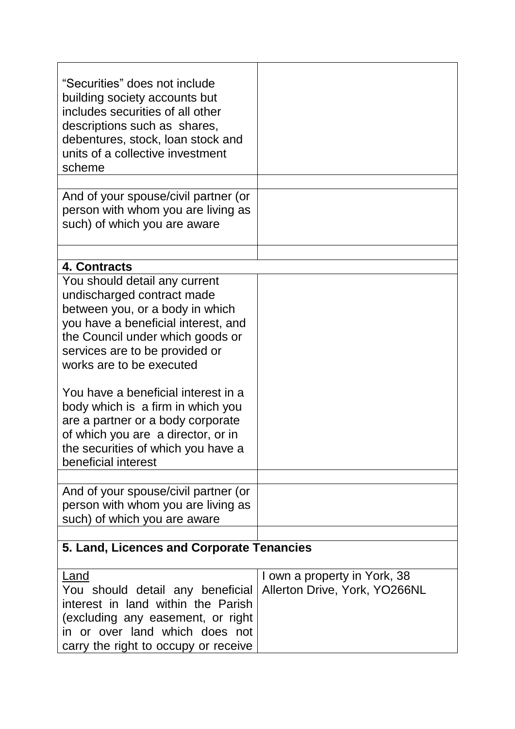| "Securities" does not include<br>building society accounts but<br>includes securities of all other<br>descriptions such as shares,<br>debentures, stock, loan stock and<br>units of a collective investment<br>scheme                                                                                                                                                                                                                                       |                                                               |  |
|-------------------------------------------------------------------------------------------------------------------------------------------------------------------------------------------------------------------------------------------------------------------------------------------------------------------------------------------------------------------------------------------------------------------------------------------------------------|---------------------------------------------------------------|--|
| And of your spouse/civil partner (or<br>person with whom you are living as<br>such) of which you are aware                                                                                                                                                                                                                                                                                                                                                  |                                                               |  |
| 4. Contracts                                                                                                                                                                                                                                                                                                                                                                                                                                                |                                                               |  |
| You should detail any current<br>undischarged contract made<br>between you, or a body in which<br>you have a beneficial interest, and<br>the Council under which goods or<br>services are to be provided or<br>works are to be executed<br>You have a beneficial interest in a<br>body which is a firm in which you<br>are a partner or a body corporate<br>of which you are a director, or in<br>the securities of which you have a<br>beneficial interest |                                                               |  |
| And of your spouse/civil partner (or<br>person with whom you are living as<br>such) of which you are aware                                                                                                                                                                                                                                                                                                                                                  |                                                               |  |
| 5. Land, Licences and Corporate Tenancies                                                                                                                                                                                                                                                                                                                                                                                                                   |                                                               |  |
| <b>Land</b><br>You should detail any beneficial<br>interest in land within the Parish<br>(excluding any easement, or right<br>in or over land which does not<br>carry the right to occupy or receive                                                                                                                                                                                                                                                        | I own a property in York, 38<br>Allerton Drive, York, YO266NL |  |